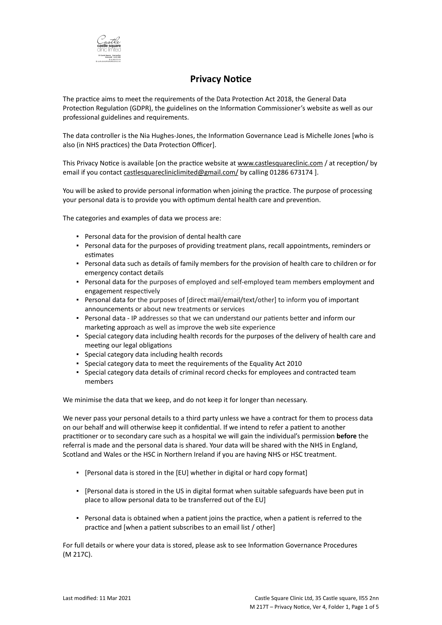

# **Privacy Notice**

The practice aims to meet the requirements of the Data Protection Act 2018, the General Data Protection Regulation (GDPR), the guidelines on the Information Commissioner's website as well as our professional guidelines and requirements.

The data controller is the Nia Hughes-Jones, the Information Governance Lead is Michelle Jones [who is also (in NHS practices) the Data Protection Officer].

This Privacy Notice is available [on the practice website at [www.castlesquareclinic.com](http://www.practice.com/) / at reception/ by email if you contact [castlesquarecliniclimited@gmail.com/](mailto:info@practice.com) by calling 01286 673174 ].

You will be asked to provide personal information when joining the practice. The purpose of processing your personal data is to provide you with optimum dental health care and prevention.

The categories and examples of data we process are:

- Personal data for the provision of dental health care
- Personal data for the purposes of providing treatment plans, recall appointments, reminders or estimates
- Personal data such as details of family members for the provision of health care to children or for emergency contact details
- Personal data for the purposes of employed and self-employed team members employment and engagement respectively
- Personal data for the purposes of [direct mail/email/text/other] to inform you of important announcements or about new treatments or services
- Personal data IP addresses so that we can understand our patients better and inform our marketing approach as well as improve the web site experience
- Special category data including health records for the purposes of the delivery of health care and meeting our legal obligations
- Special category data including health records
- Special category data to meet the requirements of the Equality Act 2010
- Special category data details of criminal record checks for employees and contracted team members

We minimise the data that we keep, and do not keep it for longer than necessary.

We never pass your personal details to a third party unless we have a contract for them to process data on our behalf and will otherwise keep it confidential. If we intend to refer a patient to another practitioner or to secondary care such as a hospital we will gain the individual's permission **before** the referral is made and the personal data is shared. Your data will be shared with the NHS in England, Scotland and Wales or the HSC in Northern Ireland if you are having NHS or HSC treatment.

- [Personal data is stored in the [EU] whether in digital or hard copy format]
- [Personal data is stored in the US in digital format when suitable safeguards have been put in place to allow personal data to be transferred out of the EU]
- Personal data is obtained when a patient joins the practice, when a patient is referred to the practice and [when a patient subscribes to an email list / other]

For full details or where your data is stored, please ask to see Information Governance Procedures (M 217C).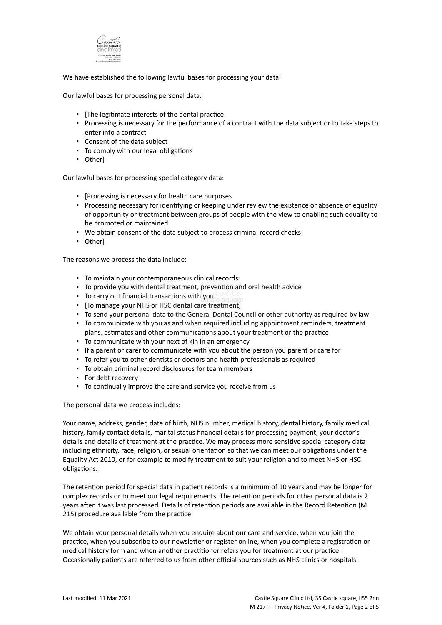

We have established the following lawful bases for processing your data:

Our lawful bases for processing personal data:

- [The legitimate interests of the dental practice
- Processing is necessary for the performance of a contract with the data subject or to take steps to enter into a contract
- Consent of the data subject
- To comply with our legal obligations
- Other]

Our lawful bases for processing special category data:

- [Processing is necessary for health care purposes
- Processing necessary for identifying or keeping under review the existence or absence of equality of opportunity or treatment between groups of people with the view to enabling such equality to be promoted or maintained
- We obtain consent of the data subject to process criminal record checks
- Other]

The reasons we process the data include:

- To maintain your contemporaneous clinical records
- To provide you with dental treatment, prevention and oral health advice
- To carry out financial transactions with you
- [To manage your NHS or HSC dental care treatment]
- To send your personal data to the General Dental Council or other authority as required by law
- To communicate with you as and when required including appointment reminders, treatment plans, estimates and other communications about your treatment or the practice
- To communicate with your next of kin in an emergency
- If a parent or carer to communicate with you about the person you parent or care for
- To refer you to other dentists or doctors and health professionals as required
- To obtain criminal record disclosures for team members
- For debt recovery
- To continually improve the care and service you receive from us

The personal data we process includes:

Your name, address, gender, date of birth, NHS number, medical history, dental history, family medical history, family contact details, marital status financial details for processing payment, your doctor's details and details of treatment at the practice. We may process more sensitive special category data including ethnicity, race, religion, or sexual orientation so that we can meet our obligations under the Equality Act 2010, or for example to modify treatment to suit your religion and to meet NHS or HSC obligations.

The retention period for special data in patient records is a minimum of 10 years and may be longer for complex records or to meet our legal requirements. The retention periods for other personal data is 2 years after it was last processed. Details of retention periods are available in the Record Retention (M 215) procedure available from the practice.

We obtain your personal details when you enquire about our care and service, when you join the practice, when you subscribe to our newsletter or register online, when you complete a registration or medical history form and when another practitioner refers you for treatment at our practice. Occasionally patients are referred to us from other official sources such as NHS clinics or hospitals.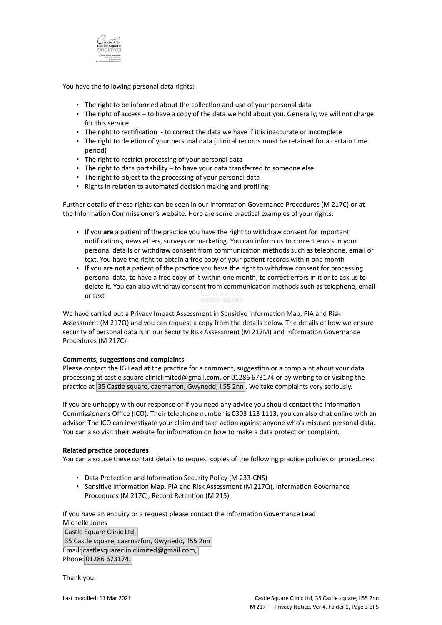

You have the following personal data rights:

- **.** The right to be informed about the collection and use of your personal data
- The right of access to have a copy of the data we hold about you. Generally, we will not charge for this service
- **·** The right to rectification to correct the data we have if it is inaccurate or incomplete
- The right to deletion of your personal data (clinical records must be retained for a certain time period)
- The right to restrict processing of your personal data
- **•** The right to data portability  $-$  to have your data transferred to someone else
- The right to object to the processing of your personal data
- Rights in relation to automated decision making and profiling

Further details of these rights can be seen in our Information Governance Procedures (M 217C) or at the [Information Commissioner's website](https://ico.org.uk/for-organisations/guide-to-the-general-data-protection-regulation-gdpr/individual-rights/). Here are some practical examples of your rights:

- If you **are** a patient of the practice you have the right to withdraw consent for important notifications, newsletters, surveys or marketing. You can inform us to correct errors in your personal details or withdraw consent from communication methods such as telephone, email or text. You have the right to obtain a free copy of your patient records within one month
- If you are **not** a patient of the practice you have the right to withdraw consent for processing personal data, to have a free copy of it within one month, to correct errors in it or to ask us to delete it. You can also withdraw consent from communication methods such as telephone, email or text

We have carried out a Privacy Impact Assessment in Sensitive Information Map, PIA and Risk Assessment (M 217Q) and you can request a copy from the details below. The details of how we ensure security of personal data is in our Security Risk Assessment (M 217M) and Information Governance Procedures (M 217C).

## **Comments, suggestions and complaints**

Please contact the IG Lead at the practice for a comment, suggestion or a complaint about your data processing at castle square cliniclimited@gmail.com, or 01286 673174 or by writing to or visiting the practice at 35 Castle square, caernarfon, Gwynedd, II55 2nn . We take complaints very seriously.

If you are unhappy with our response or if you need any advice you should contact the Information Commissioner's Office (ICO). Their telephone number is 0303 123 1113, you can also [chat online with an](https://ico.org.uk/global/contact-us/live-chat/) [advisor.](https://ico.org.uk/global/contact-us/live-chat/) The ICO can investigate your claim and take action against anyone who's misused personal data. You can also visit their website for information on [how to make a data protection complaint.](http://www.ico.org.uk/complaints)

## **Related practice procedures**

You can also use these contact details to request copies of the following practice policies or procedures:

- Data Protection and Information Security Policy (M 233-CNS)
- Sensitive Information Map, PIA and Risk Assessment (M 217Q), Information Governance Procedures (M 217C), Record Retention (M 215)

If you have an enquiry or a request please contact the Information Governance Lead Michelle Jones Castle Square Clinic Ltd, 35 Castle square, caernarfon, Gwynedd, ll55 2nn Email: castlesquarecliniclimited@gmail.com,

Phone: 01286 673174.

Thank you.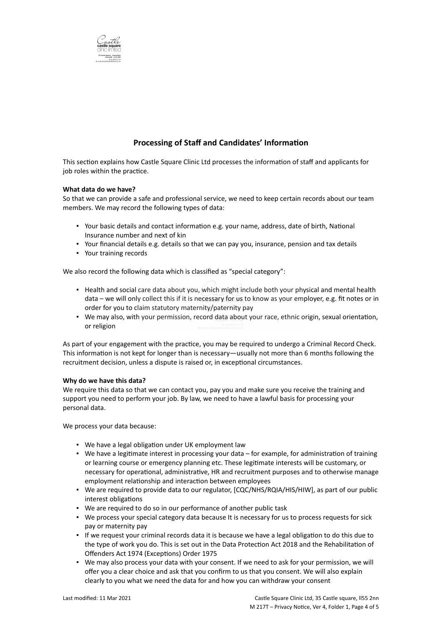

## **Processing of Staff and Candidates' Information**

This section explains how Castle Square Clinic Ltd processes the information of staff and applicants for job roles within the practice.

#### **What data do we have?**

So that we can provide a safe and professional service, we need to keep certain records about our team members. We may record the following types of data:

- Your basic details and contact information e.g. your name, address, date of birth, National Insurance number and next of kin
- Your financial details e.g. details so that we can pay you, insurance, pension and tax details
- Your training records

We also record the following data which is classified as "special category":

- . Health and social care data about you, which might include both your physical and mental health data – we will only collect this if it is necessary for us to know as your employer, e.g. fit notes or in order for you to claim statutory maternity/paternity pay
- We may also, with your permission, record data about your race, ethnic origin, sexual orientation, or religion

As part of your engagement with the practice, you may be required to undergo a Criminal Record Check. This information is not kept for longer than is necessary—usually not more than 6 months following the recruitment decision, unless a dispute is raised or, in exceptional circumstances.

#### **Why do we have this data?**

We require this data so that we can contact you, pay you and make sure you receive the training and support you need to perform your job. By law, we need to have a lawful basis for processing your personal data.

We process your data because:

- We have a legal obligation under UK employment law
- We have a legitimate interest in processing your data for example, for administration of training or learning course or emergency planning etc. These legitimate interests will be customary, or necessary for operational, administrative, HR and recruitment purposes and to otherwise manage employment relationship and interaction between employees
- . We are required to provide data to our regulator, [CQC/NHS/RQIA/HIS/HIW], as part of our public interest obligations
- We are required to do so in our performance of another public task
- We process your special category data because It is necessary for us to process requests for sick pay or maternity pay
- If we request your criminal records data it is because we have a legal obligation to do this due to the type of work you do. This is set out in the Data Protection Act 2018 and the Rehabilitation of Offenders Act 1974 (Exceptions) Order 1975
- . We may also process your data with your consent. If we need to ask for your permission, we will offer you a clear choice and ask that you confirm to us that you consent. We will also explain clearly to you what we need the data for and how you can withdraw your consent